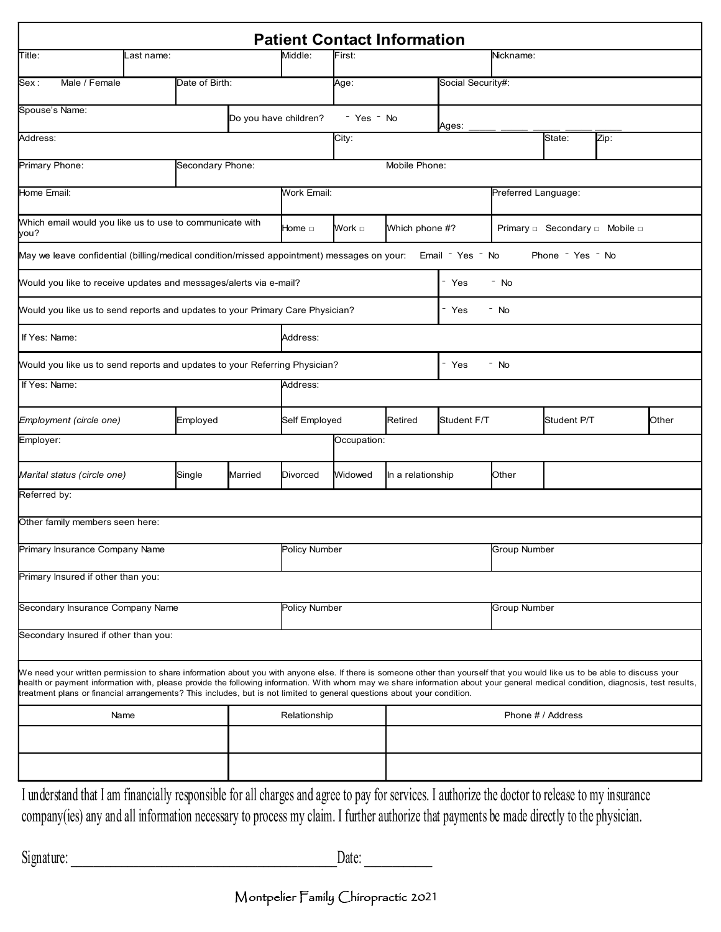|                                                                                                                                                                                                                                                                                                                                                                                                                                                                                          |                                     |                  |         |                   |                     | <b>Patient Contact Information</b> |                   |                     |                  |  |               |  |
|------------------------------------------------------------------------------------------------------------------------------------------------------------------------------------------------------------------------------------------------------------------------------------------------------------------------------------------------------------------------------------------------------------------------------------------------------------------------------------------|-------------------------------------|------------------|---------|-------------------|---------------------|------------------------------------|-------------------|---------------------|------------------|--|---------------|--|
| Title:                                                                                                                                                                                                                                                                                                                                                                                                                                                                                   | .ast name:                          |                  | Middle: | First:            |                     |                                    | Nickname:         |                     |                  |  |               |  |
| Male / Female<br> Sex :                                                                                                                                                                                                                                                                                                                                                                                                                                                                  |                                     | Date of Birth:   |         |                   | Age:                |                                    | Social Security#: |                     |                  |  |               |  |
| Spouse's Name:                                                                                                                                                                                                                                                                                                                                                                                                                                                                           | Do you have children?<br>- Yes - No |                  |         |                   |                     |                                    |                   |                     |                  |  |               |  |
| Address:                                                                                                                                                                                                                                                                                                                                                                                                                                                                                 |                                     |                  |         | City:             |                     | Ages:                              | Zip:<br>State:    |                     |                  |  |               |  |
| Primary Phone:                                                                                                                                                                                                                                                                                                                                                                                                                                                                           |                                     | Secondary Phone: |         |                   |                     | Mobile Phone:                      |                   |                     |                  |  |               |  |
| Home Email:                                                                                                                                                                                                                                                                                                                                                                                                                                                                              | Work Email:                         |                  |         |                   | Preferred Language: |                                    |                   |                     |                  |  |               |  |
| Which email would you like us to use to communicate with<br>you?                                                                                                                                                                                                                                                                                                                                                                                                                         | Home □                              | Which phone #?   |         |                   |                     |                                    |                   |                     |                  |  |               |  |
| May we leave confidential (billing/medical condition/missed appointment) messages on your:                                                                                                                                                                                                                                                                                                                                                                                               |                                     |                  |         |                   |                     |                                    | Email - Yes - No  |                     | Phone - Yes - No |  |               |  |
| Would you like to receive updates and messages/alerts via e-mail?                                                                                                                                                                                                                                                                                                                                                                                                                        |                                     |                  |         |                   |                     |                                    | - Yes             | - No                |                  |  |               |  |
| Would you like us to send reports and updates to your Primary Care Physician?                                                                                                                                                                                                                                                                                                                                                                                                            |                                     |                  |         |                   |                     |                                    | - Yes             | $-$ No              |                  |  |               |  |
| If Yes: Name:                                                                                                                                                                                                                                                                                                                                                                                                                                                                            |                                     |                  |         | Address:          |                     |                                    |                   |                     |                  |  |               |  |
| Would you like us to send reports and updates to your Referring Physician?                                                                                                                                                                                                                                                                                                                                                                                                               |                                     |                  |         |                   |                     |                                    | - Yes<br>$-$ No   |                     |                  |  |               |  |
| If Yes: Name:                                                                                                                                                                                                                                                                                                                                                                                                                                                                            |                                     |                  |         | Address:          |                     |                                    |                   |                     |                  |  |               |  |
| Employment (circle one)                                                                                                                                                                                                                                                                                                                                                                                                                                                                  |                                     | Employed         |         | Self Employed     |                     | Retired                            | Student F/T       |                     | Student P/T      |  | <b>O</b> ther |  |
| Employer:                                                                                                                                                                                                                                                                                                                                                                                                                                                                                |                                     |                  |         |                   | Occupation:         |                                    |                   |                     |                  |  |               |  |
| Marital status (circle one)                                                                                                                                                                                                                                                                                                                                                                                                                                                              |                                     | Single           | Married | Divorced          | Widowed             | In a relationship                  |                   | Other               |                  |  |               |  |
| Referred by:                                                                                                                                                                                                                                                                                                                                                                                                                                                                             |                                     |                  |         |                   |                     |                                    |                   |                     |                  |  |               |  |
| Other family members seen here:                                                                                                                                                                                                                                                                                                                                                                                                                                                          |                                     |                  |         |                   |                     |                                    |                   |                     |                  |  |               |  |
| Primary Insurance Company Name                                                                                                                                                                                                                                                                                                                                                                                                                                                           |                                     |                  |         | Policy Number     |                     |                                    |                   | <b>Group Number</b> |                  |  |               |  |
| Primary Insured if other than you:                                                                                                                                                                                                                                                                                                                                                                                                                                                       |                                     |                  |         |                   |                     |                                    |                   |                     |                  |  |               |  |
| Secondary Insurance Company Name                                                                                                                                                                                                                                                                                                                                                                                                                                                         |                                     |                  |         | Policy Number     |                     |                                    |                   | Group Number        |                  |  |               |  |
| Secondary Insured if other than you:                                                                                                                                                                                                                                                                                                                                                                                                                                                     |                                     |                  |         |                   |                     |                                    |                   |                     |                  |  |               |  |
| We need your written permission to share information about you with anyone else. If there is someone other than yourself that you would like us to be able to discuss your<br>health or payment information with, please provide the following information. With whom may we share information about your general medical condition, diagnosis, test results,<br>treatment plans or financial arrangements? This includes, but is not limited to general questions about your condition. |                                     |                  |         |                   |                     |                                    |                   |                     |                  |  |               |  |
| Name                                                                                                                                                                                                                                                                                                                                                                                                                                                                                     |                                     | Relationship     |         | Phone # / Address |                     |                                    |                   |                     |                  |  |               |  |
|                                                                                                                                                                                                                                                                                                                                                                                                                                                                                          |                                     |                  |         |                   |                     |                                    |                   |                     |                  |  |               |  |
|                                                                                                                                                                                                                                                                                                                                                                                                                                                                                          |                                     |                  |         |                   |                     |                                    |                   |                     |                  |  |               |  |
| I understand that I am financially responsible for all charges and agree to pay for services. I authorize the doctor to release to my insurance<br>company(ies) any and all information necessary to process my claim. I further authorize that payments be made directly to the physician.                                                                                                                                                                                              |                                     |                  |         |                   |                     |                                    |                   |                     |                  |  |               |  |

| Signature: | Date: |  |
|------------|-------|--|
|------------|-------|--|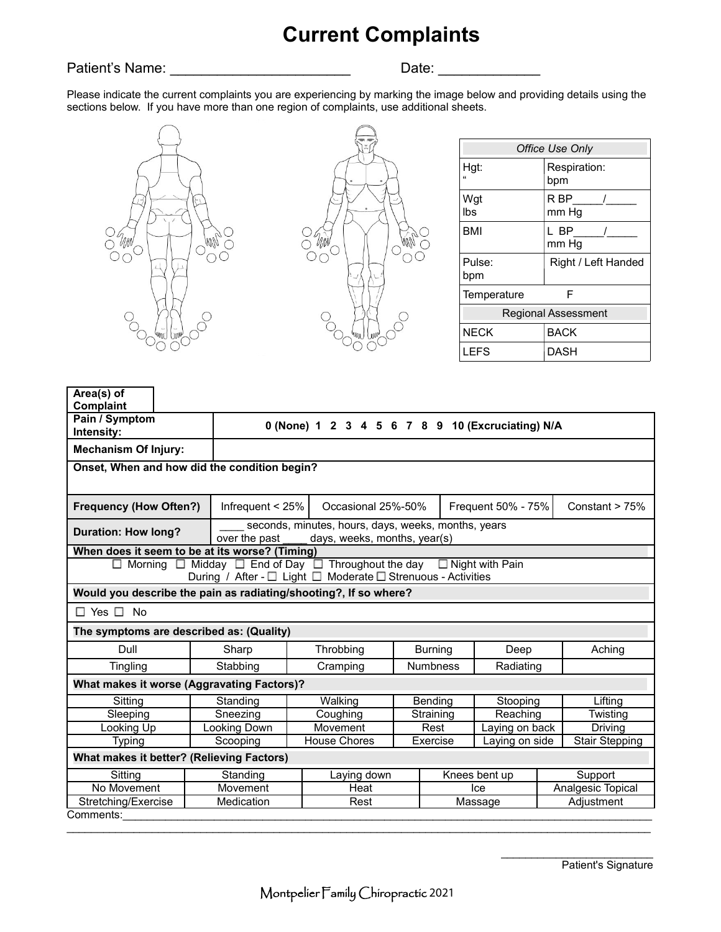# **Current Complaints**

### Patient's Name: \_\_\_\_\_\_\_\_\_\_\_\_\_\_\_\_\_\_\_\_\_\_\_ Date: \_\_\_\_\_\_\_\_\_\_\_\_\_

Please indicate the current complaints you are experiencing by marking the image below and providing details using the sections below. If you have more than one region of complaints, use additional sheets.





| Office Use Only            |                           |  |  |  |  |  |
|----------------------------|---------------------------|--|--|--|--|--|
| Hgt:                       | Respiration:<br>bpm       |  |  |  |  |  |
| Wgt<br>lbs                 | R BP<br>$\prime$<br>mm Hg |  |  |  |  |  |
| <b>BMI</b>                 | L BP<br>mm Hg             |  |  |  |  |  |
| Pulse:<br>bpm              | Right / Left Handed       |  |  |  |  |  |
| F<br>Temperature           |                           |  |  |  |  |  |
| <b>Regional Assessment</b> |                           |  |  |  |  |  |
| <b>NECK</b>                | BACK                      |  |  |  |  |  |
| LEFS                       | DASH                      |  |  |  |  |  |

| Area(s) of<br>Complaint                                                 |                                                                                  |                                                                                     |                 |                     |                       |                   |                  |  |
|-------------------------------------------------------------------------|----------------------------------------------------------------------------------|-------------------------------------------------------------------------------------|-----------------|---------------------|-----------------------|-------------------|------------------|--|
| Pain / Symptom<br>Intensity:                                            |                                                                                  | 0 (None) 1 2 3 4 5 6 7 8 9 10 (Excruciating) N/A                                    |                 |                     |                       |                   |                  |  |
| <b>Mechanism Of Injury:</b>                                             |                                                                                  |                                                                                     |                 |                     |                       |                   |                  |  |
|                                                                         | Onset, When and how did the condition begin?                                     |                                                                                     |                 |                     |                       |                   |                  |  |
| <b>Frequency (How Often?)</b>                                           |                                                                                  | Infrequent $< 25%$<br>Occasional 25%-50%                                            |                 |                     | Frequent 50% - 75%    |                   | Constant $> 75%$ |  |
| <b>Duration: How long?</b>                                              | over the past                                                                    | seconds, minutes, hours, days, weeks, months, years<br>days, weeks, months, year(s) |                 |                     |                       |                   |                  |  |
|                                                                         | When does it seem to be at its worse? (Timing)                                   |                                                                                     |                 |                     |                       |                   |                  |  |
| $\Box$ Morning                                                          | $\Box$ Midday $\Box$ End of Day $\Box$ Throughout the day $\Box$ Night with Pain | During / After - □ Light □ Moderate □ Strenuous - Activities                        |                 |                     |                       |                   |                  |  |
|                                                                         | Would you describe the pain as radiating/shooting?, If so where?                 |                                                                                     |                 |                     |                       |                   |                  |  |
| $\Box$ Yes $\Box$ No                                                    |                                                                                  |                                                                                     |                 |                     |                       |                   |                  |  |
|                                                                         | The symptoms are described as: (Quality)                                         |                                                                                     |                 |                     |                       |                   |                  |  |
| Dull                                                                    | Sharp                                                                            | Throbbing                                                                           |                 | <b>Burning</b>      | Deep                  |                   | Aching           |  |
| Tingling                                                                | Stabbing                                                                         | Cramping                                                                            | <b>Numbness</b> |                     | Radiating             |                   |                  |  |
|                                                                         | What makes it worse (Aggravating Factors)?                                       |                                                                                     |                 |                     |                       |                   |                  |  |
| Sitting                                                                 | Walking<br>Standing                                                              |                                                                                     |                 | Bending<br>Stooping |                       |                   | Lifting          |  |
| Sleeping                                                                | Sneezing                                                                         | Coughing<br>Straining                                                               |                 |                     | Reaching              |                   | Twisting         |  |
| Looking Up                                                              | Looking Down                                                                     | Movement                                                                            |                 | Rest                | Laying on back        |                   | Driving          |  |
| <b>House Chores</b><br>Laying on side<br>Scooping<br>Exercise<br>Typing |                                                                                  |                                                                                     |                 |                     | <b>Stair Stepping</b> |                   |                  |  |
|                                                                         | What makes it better? (Relieving Factors)                                        |                                                                                     |                 |                     |                       |                   |                  |  |
| Sitting                                                                 | Standing                                                                         | Laying down                                                                         |                 |                     | Knees bent up         | Support           |                  |  |
| No Movement                                                             | Movement                                                                         | Heat<br>lce                                                                         |                 |                     |                       | Analgesic Topical |                  |  |
| Stretching/Exercise                                                     | Medication                                                                       | Rest<br>Massage                                                                     |                 |                     |                       | Adjustment        |                  |  |
| Comments:                                                               |                                                                                  |                                                                                     |                 |                     |                       |                   |                  |  |

 $\frac{1}{2}$  ,  $\frac{1}{2}$  ,  $\frac{1}{2}$  ,  $\frac{1}{2}$  ,  $\frac{1}{2}$  ,  $\frac{1}{2}$  ,  $\frac{1}{2}$  ,  $\frac{1}{2}$  ,  $\frac{1}{2}$  ,  $\frac{1}{2}$  ,  $\frac{1}{2}$  ,  $\frac{1}{2}$  ,  $\frac{1}{2}$  ,  $\frac{1}{2}$  ,  $\frac{1}{2}$  ,  $\frac{1}{2}$  ,  $\frac{1}{2}$  ,  $\frac{1}{2}$  ,  $\frac{1$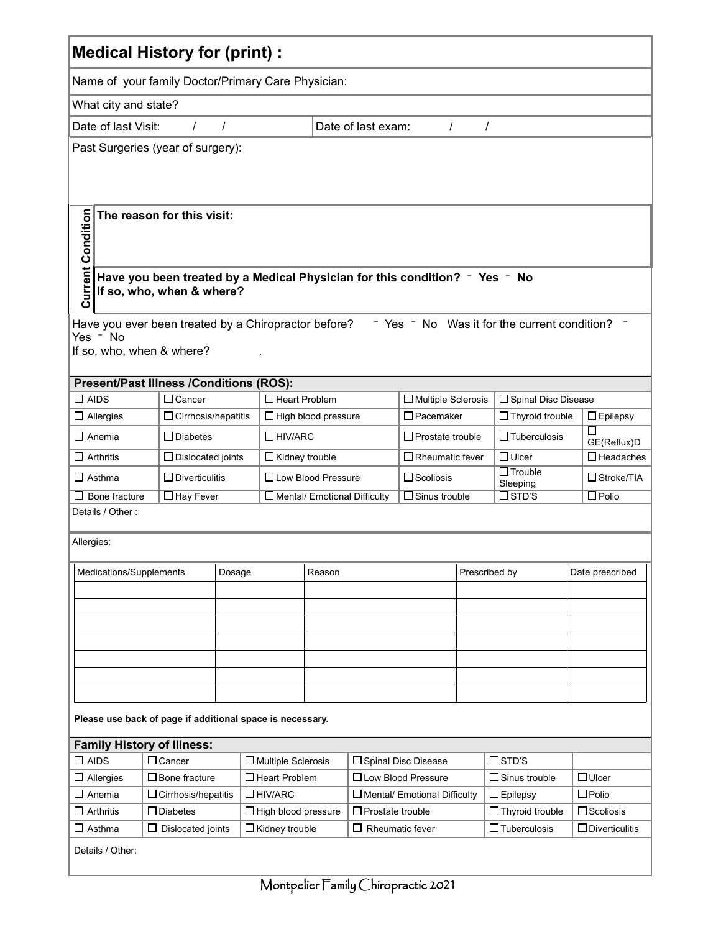| <b>Medical History for (print):</b>                                                                                                                                                      |                                                                                               |                                                                          |                       |                                                             |                                     |                           |                   |                            |                       |  |
|------------------------------------------------------------------------------------------------------------------------------------------------------------------------------------------|-----------------------------------------------------------------------------------------------|--------------------------------------------------------------------------|-----------------------|-------------------------------------------------------------|-------------------------------------|---------------------------|-------------------|----------------------------|-----------------------|--|
| Name of your family Doctor/Primary Care Physician:                                                                                                                                       |                                                                                               |                                                                          |                       |                                                             |                                     |                           |                   |                            |                       |  |
| What city and state?                                                                                                                                                                     |                                                                                               |                                                                          |                       |                                                             |                                     |                           |                   |                            |                       |  |
|                                                                                                                                                                                          | Date of last exam:<br>Date of last Visit:<br>$\prime$<br>$\prime$<br>$\prime$<br>$\prime$     |                                                                          |                       |                                                             |                                     |                           |                   |                            |                       |  |
| Past Surgeries (year of surgery):                                                                                                                                                        |                                                                                               |                                                                          |                       |                                                             |                                     |                           |                   |                            |                       |  |
| <b>Current Condition</b><br>The reason for this visit:<br>Have you been treated by a Medical Physician for this condition? <sup>-</sup> Yes - No                                         |                                                                                               |                                                                          |                       |                                                             |                                     |                           |                   |                            |                       |  |
|                                                                                                                                                                                          | If so, who, when & where?                                                                     |                                                                          |                       |                                                             |                                     |                           |                   |                            |                       |  |
| Have you ever been treated by a Chiropractor before?<br>- Yes - No Was it for the current condition?<br>Yes - No<br>If so, who, when & where?<br>Present/Past Illness /Conditions (ROS): |                                                                                               |                                                                          |                       |                                                             |                                     |                           |                   |                            |                       |  |
| $\square$ AIDS                                                                                                                                                                           | $\Box$ Cancer                                                                                 |                                                                          | $\Box$ Heart Problem  |                                                             |                                     | $\Box$ Multiple Sclerosis |                   | □ Spinal Disc Disease      |                       |  |
| $\Box$ Allergies                                                                                                                                                                         | $\Box$ Cirrhosis/hepatitis                                                                    | $\Box$ Pacemaker<br>$\Box$ Thyroid trouble<br>$\Box$ High blood pressure |                       |                                                             |                                     |                           |                   | $\Box$ Epilepsy            |                       |  |
| $\Box$ Anemia                                                                                                                                                                            | $\Box$<br>$\Box$ Diabetes<br>$\Box$ HIV/ARC<br>$\Box$ Prostate trouble<br>$\Box$ Tuberculosis |                                                                          |                       |                                                             |                                     |                           |                   |                            | GE(Reflux)D           |  |
| $\Box$ Arthritis                                                                                                                                                                         | $\Box$ Dislocated joints                                                                      |                                                                          | $\Box$ Kidney trouble |                                                             |                                     | $\Box$ Rheumatic fever    |                   | $\Box$ Ulcer               | $\Box$ Headaches      |  |
| $\Box$ Asthma                                                                                                                                                                            | $\Box$ Diverticulitis                                                                         |                                                                          | □ Low Blood Pressure  |                                                             |                                     | $\Box$ Scoliosis          |                   | $\Box$ Trouble<br>Sleeping | $\Box$ Stroke/TIA     |  |
| $\Box$ Hay Fever<br>Bone fracture                                                                                                                                                        |                                                                                               |                                                                          |                       | $\Box$ Sinus trouble<br>$\Box$ Mental/ Emotional Difficulty |                                     |                           |                   | $\square$ std's            | $\Box$ Polio          |  |
| Details / Other:                                                                                                                                                                         |                                                                                               |                                                                          |                       |                                                             |                                     |                           |                   |                            |                       |  |
| Allergies:                                                                                                                                                                               |                                                                                               |                                                                          |                       |                                                             |                                     |                           |                   |                            |                       |  |
| Medications/Supplements                                                                                                                                                                  |                                                                                               | Dosage                                                                   | Reason                |                                                             |                                     | Prescribed by             |                   |                            | Date prescribed       |  |
|                                                                                                                                                                                          |                                                                                               |                                                                          |                       |                                                             |                                     |                           |                   |                            |                       |  |
|                                                                                                                                                                                          |                                                                                               |                                                                          |                       |                                                             |                                     |                           |                   |                            |                       |  |
|                                                                                                                                                                                          |                                                                                               |                                                                          |                       |                                                             |                                     |                           |                   |                            |                       |  |
|                                                                                                                                                                                          |                                                                                               |                                                                          |                       |                                                             |                                     |                           |                   |                            |                       |  |
|                                                                                                                                                                                          |                                                                                               |                                                                          |                       |                                                             |                                     |                           |                   |                            |                       |  |
|                                                                                                                                                                                          |                                                                                               |                                                                          |                       |                                                             |                                     |                           |                   |                            |                       |  |
|                                                                                                                                                                                          |                                                                                               |                                                                          |                       |                                                             |                                     |                           |                   |                            |                       |  |
| Please use back of page if additional space is necessary.                                                                                                                                |                                                                                               |                                                                          |                       |                                                             |                                     |                           |                   |                            |                       |  |
| <b>Family History of Illness:</b>                                                                                                                                                        |                                                                                               |                                                                          |                       |                                                             |                                     |                           |                   |                            |                       |  |
| $\square$ AIDS                                                                                                                                                                           | $\Box$ Cancer<br>□ Multiple Sclerosis                                                         |                                                                          |                       |                                                             | □ Spinal Disc Disease               |                           |                   | $\square$ STD'S            |                       |  |
| Allergies                                                                                                                                                                                | $\Box$ Bone fracture                                                                          |                                                                          | $\Box$ Heart Problem  |                                                             | □ Low Blood Pressure                |                           |                   | $\Box$ Sinus trouble       | $\Box$ Ulcer          |  |
| $\Box$ Anemia                                                                                                                                                                            | $\Box$ Cirrhosis/hepatitis                                                                    | $\Box$ HIV/ARC                                                           |                       |                                                             | $\Box$ Mental/ Emotional Difficulty |                           |                   | $\Box$ Epilepsy            | $\square$ Polio       |  |
| $\Box$ Arthritis                                                                                                                                                                         | $\Box$ Diabetes<br>$\Box$ High blood pressure                                                 |                                                                          |                       | $\Box$ Prostate trouble                                     |                                     |                           | □ Thyroid trouble | $\Box$ Scoliosis           |                       |  |
| ∐ Asthma                                                                                                                                                                                 | $\Box$ Dislocated joints                                                                      |                                                                          | $\Box$ Kidney trouble |                                                             | $\Box$ Rheumatic fever              |                           |                   | $\Box$ Tuberculosis        | $\Box$ Diverticulitis |  |
| Details / Other:                                                                                                                                                                         |                                                                                               |                                                                          |                       |                                                             |                                     |                           |                   |                            |                       |  |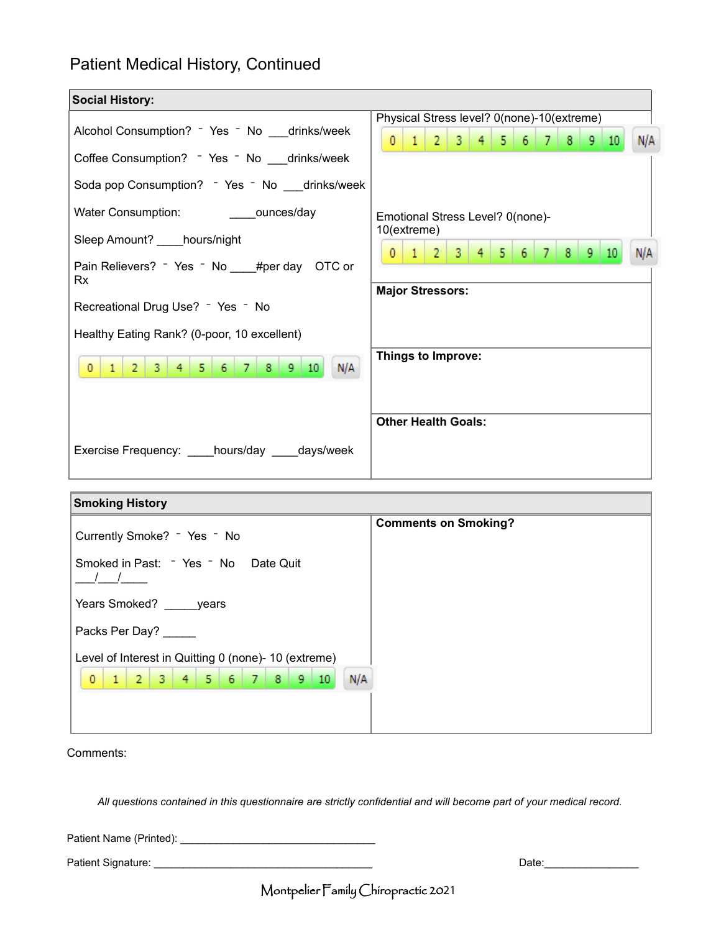# Patient Medical History, Continued

| <b>Social History:</b>                                                                        |                                                                                                                                           |  |  |  |  |  |  |
|-----------------------------------------------------------------------------------------------|-------------------------------------------------------------------------------------------------------------------------------------------|--|--|--|--|--|--|
| Alcohol Consumption? - Yes - No __drinks/week<br>Coffee Consumption? - Yes - No __drinks/week | Physical Stress level? 0(none)-10(extreme)<br>3   4   5   6   7   8   9<br>$\overline{0}$<br>$\mathbf{1}$<br>$\vert 2 \vert$<br>N/A<br>10 |  |  |  |  |  |  |
| Soda pop Consumption? - Yes - No __drinks/week                                                | Emotional Stress Level? 0(none)-<br>10(extreme)                                                                                           |  |  |  |  |  |  |
| Sleep Amount? hours/night<br>Pain Relievers? - Yes - No ___ #per day OTC or<br>Rx             | $\overline{2}$<br>-3.<br>$\mathbf{0}$<br>N/A<br>8<br>9.                                                                                   |  |  |  |  |  |  |
| Recreational Drug Use? - Yes - No<br>Healthy Eating Rank? (0-poor, 10 excellent)              | <b>Major Stressors:</b>                                                                                                                   |  |  |  |  |  |  |
| N/A<br>5.<br>9   10<br>$\mathcal{D}$<br>8<br>з.<br>6.                                         | Things to Improve:                                                                                                                        |  |  |  |  |  |  |
| Exercise Frequency: _____hours/day _____days/week                                             | <b>Other Health Goals:</b>                                                                                                                |  |  |  |  |  |  |

| <b>Smoking History</b>                                                                        |                             |
|-----------------------------------------------------------------------------------------------|-----------------------------|
| Currently Smoke? - Yes - No                                                                   | <b>Comments on Smoking?</b> |
| Smoked in Past: - Yes - No Date Quit                                                          |                             |
| Years Smoked? ______ years                                                                    |                             |
| Packs Per Day?                                                                                |                             |
| Level of Interest in Quitting 0 (none)- 10 (extreme)<br>2 3 4 5 6 7 8 9 10<br>$\Omega$<br>N/A |                             |
|                                                                                               |                             |

Comments:

*All questions contained in this questionnaire are strictly confidential and will become part of your medical record.*

Patient Name (Printed): \_\_\_\_\_\_\_\_\_\_\_\_\_\_\_\_\_\_\_\_\_\_\_\_\_\_\_\_\_\_\_\_\_

Patient Signature: \_\_\_\_\_\_\_\_\_\_\_\_\_\_\_\_\_\_\_\_\_\_\_\_\_\_\_\_\_\_\_\_\_\_\_\_\_ Date:\_\_\_\_\_\_\_\_\_\_\_\_\_\_\_\_

Montpelier Family Chiropractic 2021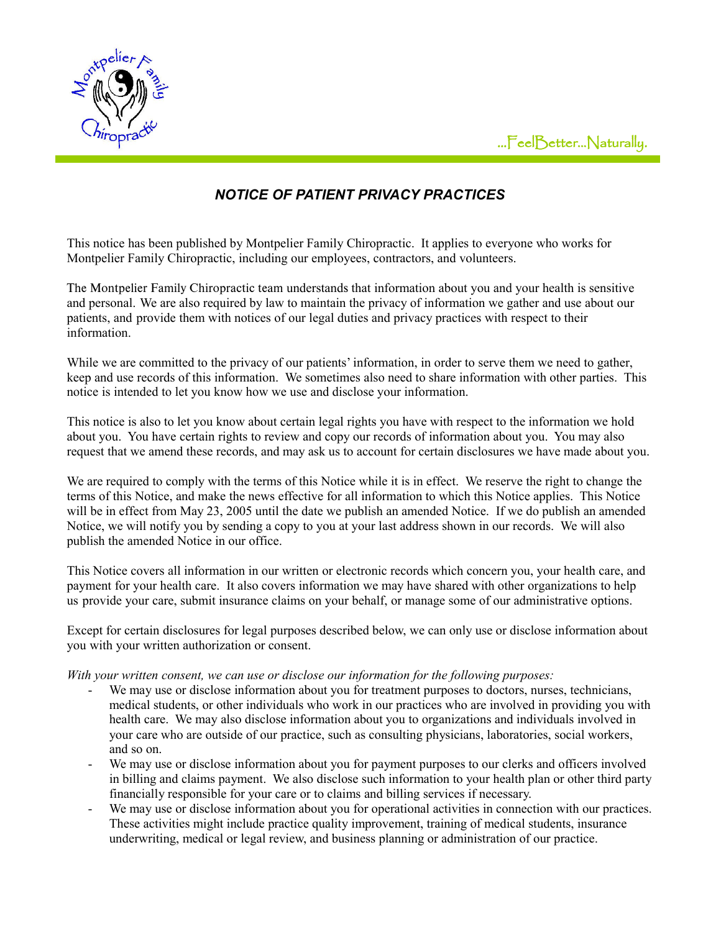



# *NOTICE OF PATIENT PRIVACY PRACTICES*

This notice has been published by Montpelier Family Chiropractic. It applies to everyone who works for Montpelier Family Chiropractic, including our employees, contractors, and volunteers.

The Montpelier Family Chiropractic team understands that information about you and your health is sensitive and personal. We are also required by law to maintain the privacy of information we gather and use about our patients, and provide them with notices of our legal duties and privacy practices with respect to their information.

While we are committed to the privacy of our patients' information, in order to serve them we need to gather, keep and use records of this information. We sometimes also need to share information with other parties. This notice is intended to let you know how we use and disclose your information.

This notice is also to let you know about certain legal rights you have with respect to the information we hold about you. You have certain rights to review and copy our records of information about you. You may also request that we amend these records, and may ask us to account for certain disclosures we have made about you.

We are required to comply with the terms of this Notice while it is in effect. We reserve the right to change the terms of this Notice, and make the news effective for all information to which this Notice applies. This Notice will be in effect from May 23, 2005 until the date we publish an amended Notice. If we do publish an amended Notice, we will notify you by sending a copy to you at your last address shown in our records. We will also publish the amended Notice in our office.

This Notice covers all information in our written or electronic records which concern you, your health care, and payment for your health care. It also covers information we may have shared with other organizations to help us provide your care, submit insurance claims on your behalf, or manage some of our administrative options.

Except for certain disclosures for legal purposes described below, we can only use or disclose information about you with your written authorization or consent.

*With your written consent, we can use or disclose our information for the following purposes:*

- We may use or disclose information about you for treatment purposes to doctors, nurses, technicians, medical students, or other individuals who work in our practices who are involved in providing you with health care. We may also disclose information about you to organizations and individuals involved in your care who are outside of our practice, such as consulting physicians, laboratories, social workers, and so on.
- We may use or disclose information about you for payment purposes to our clerks and officers involved in billing and claims payment. We also disclose such information to your health plan or other third party financially responsible for your care or to claims and billing services if necessary.
- We may use or disclose information about you for operational activities in connection with our practices. These activities might include practice quality improvement, training of medical students, insurance underwriting, medical or legal review, and business planning or administration of our practice.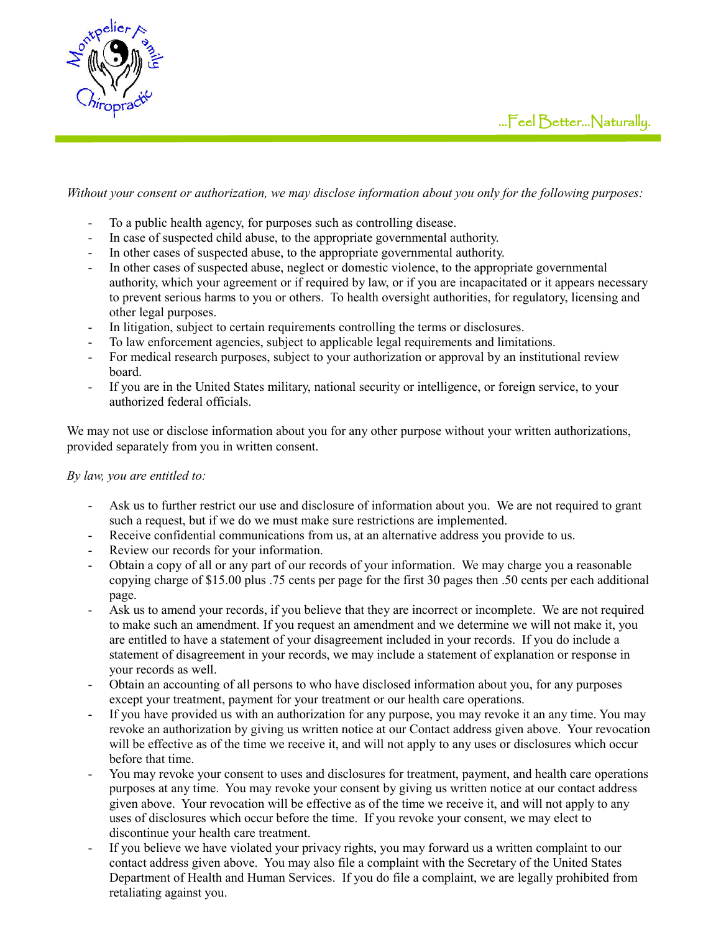



*Without your consent or authorization, we may disclose information about you only for the following purposes:*

- To a public health agency, for purposes such as controlling disease.
- In case of suspected child abuse, to the appropriate governmental authority.
- In other cases of suspected abuse, to the appropriate governmental authority.
- In other cases of suspected abuse, neglect or domestic violence, to the appropriate governmental authority, which your agreement or if required by law, or if you are incapacitated or it appears necessary to prevent serious harms to you or others. To health oversight authorities, for regulatory, licensing and other legal purposes.
- In litigation, subject to certain requirements controlling the terms or disclosures.
- To law enforcement agencies, subject to applicable legal requirements and limitations.
- For medical research purposes, subject to your authorization or approval by an institutional review board.
- If you are in the United States military, national security or intelligence, or foreign service, to your authorized federal officials.

We may not use or disclose information about you for any other purpose without your written authorizations, provided separately from you in written consent.

#### *By law, you are entitled to:*

- Ask us to further restrict our use and disclosure of information about you. We are not required to grant such a request, but if we do we must make sure restrictions are implemented.
- Receive confidential communications from us, at an alternative address you provide to us.
- Review our records for your information.
- Obtain a copy of all or any part of our records of your information. We may charge you a reasonable copying charge of \$15.00 plus .75 cents per page for the first 30 pages then .50 cents per each additional page.
- Ask us to amend your records, if you believe that they are incorrect or incomplete. We are not required to make such an amendment. If you request an amendment and we determine we will not make it, you are entitled to have a statement of your disagreement included in your records. If you do include a statement of disagreement in your records, we may include a statement of explanation or response in your records as well.
- Obtain an accounting of all persons to who have disclosed information about you, for any purposes except your treatment, payment for your treatment or our health care operations.
- If you have provided us with an authorization for any purpose, you may revoke it an any time. You may revoke an authorization by giving us written notice at our Contact address given above. Your revocation will be effective as of the time we receive it, and will not apply to any uses or disclosures which occur before that time.
- You may revoke your consent to uses and disclosures for treatment, payment, and health care operations purposes at any time. You may revoke your consent by giving us written notice at our contact address given above. Your revocation will be effective as of the time we receive it, and will not apply to any uses of disclosures which occur before the time. If you revoke your consent, we may elect to discontinue your health care treatment.
- If you believe we have violated your privacy rights, you may forward us a written complaint to our contact address given above. You may also file a complaint with the Secretary of the United States Department of Health and Human Services. If you do file a complaint, we are legally prohibited from retaliating against you.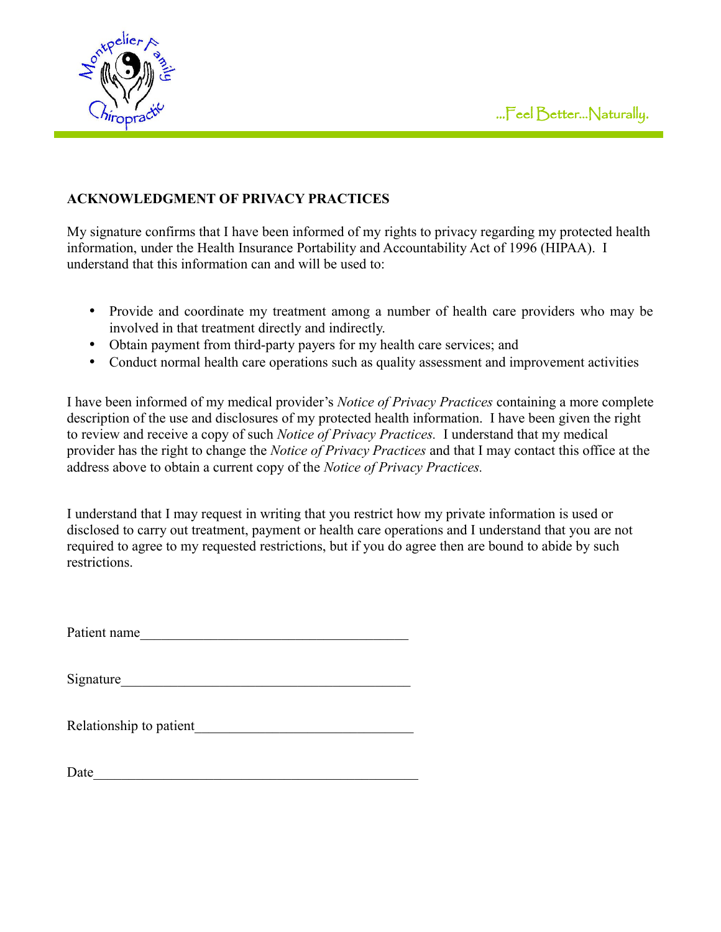

## **ACKNOWLEDGMENT OF PRIVACY PRACTICES**

My signature confirms that I have been informed of my rights to privacy regarding my protected health information, under the Health Insurance Portability and Accountability Act of 1996 (HIPAA). I understand that this information can and will be used to:

- Provide and coordinate my treatment among a number of health care providers who may be involved in that treatment directly and indirectly.
- Obtain payment from third-party payers for my health care services; and
- Conduct normal health care operations such as quality assessment and improvement activities

I have been informed of my medical provider's *Notice of Privacy Practices* containing a more complete description of the use and disclosures of my protected health information. I have been given the right to review and receive a copy of such *Notice of Privacy Practices.* I understand that my medical provider has the right to change the *Notice of Privacy Practices* and that I may contact this office at the address above to obtain a current copy of the *Notice of Privacy Practices.*

I understand that I may request in writing that you restrict how my private information is used or disclosed to carry out treatment, payment or health care operations and I understand that you are not required to agree to my requested restrictions, but if you do agree then are bound to abide by such restrictions.

Patient name\_\_\_\_\_\_\_\_\_\_\_\_\_\_\_\_\_\_\_\_\_\_\_\_\_\_\_\_\_\_\_\_\_\_\_\_\_\_

Signature

Relationship to patient

Date\_\_\_\_\_\_\_\_\_\_\_\_\_\_\_\_\_\_\_\_\_\_\_\_\_\_\_\_\_\_\_\_\_\_\_\_\_\_\_\_\_\_\_\_\_\_